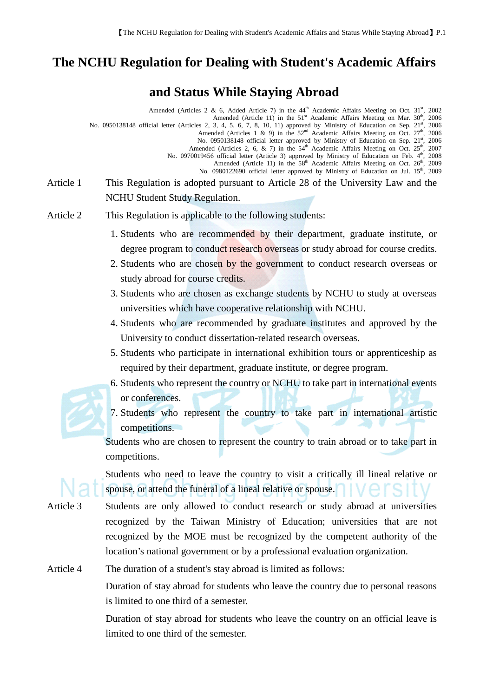## **The NCHU Regulation for Dealing with Student's Academic Affairs**

## **and Status While Staying Abroad**

Amended (Articles 2 & 6, Added Article 7) in the  $44<sup>th</sup>$  Academic Affairs Meeting on Oct.  $31<sup>st</sup>$ , 2002 Amended (Article 11) in the  $51<sup>st</sup>$  Academic Affairs Meeting on Mar.  $30<sup>th</sup>$ , 2006 No. 0950138148 official letter (Articles 2, 3, 4, 5, 6, 7, 8, 10, 11) approved by Ministry of Education on Sep.  $21^{st}$ , 2006<br>Amended (Articles 1 & 9) in the 52<sup>nd</sup> Academic Affairs Meeting on Oct.  $27^{th}$ , 2006 No. 0950138148 official letter approved by Ministry of Education on Sep. 21st, 2006 Amended (Articles 2, 6, & 7) in the  $54<sup>th</sup>$  Academic Affairs Meeting on Oct. 25<sup>th</sup>, 2007 No. 0970019456 official letter (Article 3) approved by Ministry of Education on Feb. 4<sup>th</sup>, 2008 Amended (Article 11) in the 58<sup>th</sup> Academic Affairs Meeting on Oct. 26<sup>th</sup>, 2009 No. 0980122690 official letter approved by Ministry of Education on Jul. 15<sup>th</sup>, 2009 Article 1 This Regulation is adopted pursuant to Article 28 of the University Law and the NCHU Student Study Regulation.

- Article 2 This Regulation is applicable to the following students:
	- 1. Students who are recommended by their department, graduate institute, or degree program to conduct research overseas or study abroad for course credits.
	- 2. Students who are chosen by the government to conduct research overseas or study abroad for course credits.
	- 3. Students who are chosen as exchange students by NCHU to study at overseas universities which have cooperative relationship with NCHU.
	- 4. Students who are recommended by graduate institutes and approved by the University to conduct dissertation-related research overseas.
	- 5. Students who participate in international exhibition tours or apprenticeship as required by their department, graduate institute, or degree program.
	- 6. Students who represent the country or NCHU to take part in international events or conferences.
	- 7. Students who represent the country to take part in international artistic competitions.

Students who are chosen to represent the country to train abroad or to take part in competitions.

Students who need to leave the country to visit a critically ill lineal relative or spouse, or attend the funeral of a lineal relative or spouse.

Article 3 Students are only allowed to conduct research or study abroad at universities recognized by the Taiwan Ministry of Education; universities that are not recognized by the MOE must be recognized by the competent authority of the location's national government or by a professional evaluation organization.

Article 4 The duration of a student's stay abroad is limited as follows:

Duration of stay abroad for students who leave the country due to personal reasons is limited to one third of a semester.

Duration of stay abroad for students who leave the country on an official leave is limited to one third of the semester.